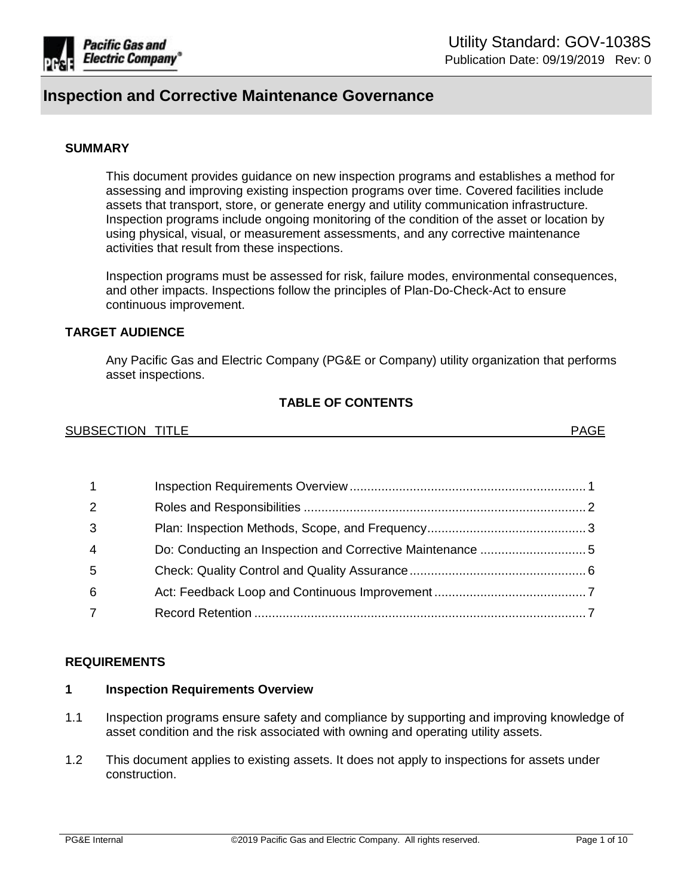

#### **SUMMARY**

This document provides guidance on new inspection programs and establishes a method for assessing and improving existing inspection programs over time. Covered facilities include assets that transport, store, or generate energy and utility communication infrastructure. Inspection programs include ongoing monitoring of the condition of the asset or location by using physical, visual, or measurement assessments, and any corrective maintenance activities that result from these inspections.

Inspection programs must be assessed for risk, failure modes, environmental consequences, and other impacts. Inspections follow the principles of Plan-Do-Check-Act to ensure continuous improvement.

#### **TARGET AUDIENCE**

Any Pacific Gas and Electric Company (PG&E or Company) utility organization that performs asset inspections.

#### **TABLE OF CONTENTS**

| <b>SUBSECTION</b> | $\mathsf{D}\Lambda\mathsf{C}\mathsf{F}$ |
|-------------------|-----------------------------------------|
| <b>TITLE</b>      | 50 L                                    |
|                   |                                         |

| $\overline{1}$ |  |
|----------------|--|
| 2              |  |
| 3              |  |
| $\overline{4}$ |  |
| -5             |  |
| 6              |  |
|                |  |

#### **REQUIREMENTS**

#### <span id="page-0-0"></span>**1 Inspection Requirements Overview**

- 1.1 Inspection programs ensure safety and compliance by supporting and improving knowledge of asset condition and the risk associated with owning and operating utility assets.
- 1.2 This document applies to existing assets. It does not apply to inspections for assets under construction.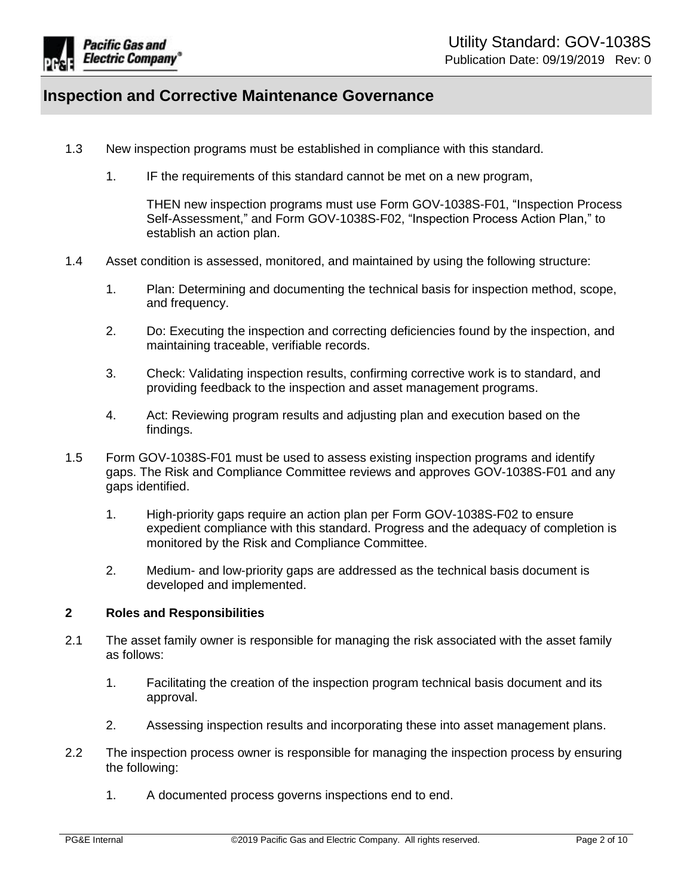

- 1.3 New inspection programs must be established in compliance with this standard.
	- 1. IF the requirements of this standard cannot be met on a new program,

THEN new inspection programs must use Form GOV-1038S-F01, "Inspection Process Self-Assessment," and Form GOV-1038S-F02, "Inspection Process Action Plan," to establish an action plan.

- 1.4 Asset condition is assessed, monitored, and maintained by using the following structure:
	- 1. Plan: Determining and documenting the technical basis for inspection method, scope, and frequency.
	- 2. Do: Executing the inspection and correcting deficiencies found by the inspection, and maintaining traceable, verifiable records.
	- 3. Check: Validating inspection results, confirming corrective work is to standard, and providing feedback to the inspection and asset management programs.
	- 4. Act: Reviewing program results and adjusting plan and execution based on the findings.
- 1.5 Form GOV-1038S-F01 must be used to assess existing inspection programs and identify gaps. The Risk and Compliance Committee reviews and approves GOV-1038S-F01 and any gaps identified.
	- 1. High-priority gaps require an action plan per Form GOV-1038S-F02 to ensure expedient compliance with this standard. Progress and the adequacy of completion is monitored by the Risk and Compliance Committee.
	- 2. Medium- and low-priority gaps are addressed as the technical basis document is developed and implemented.

#### <span id="page-1-0"></span>**2 Roles and Responsibilities**

- 2.1 The asset family owner is responsible for managing the risk associated with the asset family as follows:
	- 1. Facilitating the creation of the inspection program technical basis document and its approval.
	- 2. Assessing inspection results and incorporating these into asset management plans.
- 2.2 The inspection process owner is responsible for managing the inspection process by ensuring the following:
	- 1. A documented process governs inspections end to end.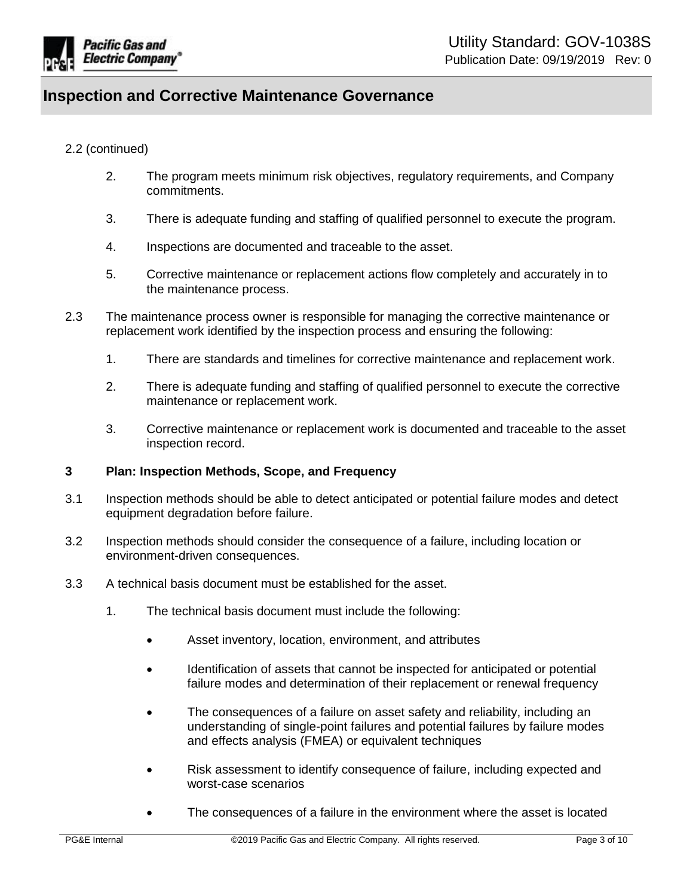

#### 2.2 (continued)

- 2. The program meets minimum risk objectives, regulatory requirements, and Company commitments.
- 3. There is adequate funding and staffing of qualified personnel to execute the program.
- 4. Inspections are documented and traceable to the asset.
- 5. Corrective maintenance or replacement actions flow completely and accurately in to the maintenance process.
- 2.3 The maintenance process owner is responsible for managing the corrective maintenance or replacement work identified by the inspection process and ensuring the following:
	- 1. There are standards and timelines for corrective maintenance and replacement work.
	- 2. There is adequate funding and staffing of qualified personnel to execute the corrective maintenance or replacement work.
	- 3. Corrective maintenance or replacement work is documented and traceable to the asset inspection record.

#### <span id="page-2-0"></span>**3 Plan: Inspection Methods, Scope, and Frequency**

- 3.1 Inspection methods should be able to detect anticipated or potential failure modes and detect equipment degradation before failure.
- 3.2 Inspection methods should consider the consequence of a failure, including location or environment-driven consequences.
- 3.3 A technical basis document must be established for the asset.
	- 1. The technical basis document must include the following:
		- Asset inventory, location, environment, and attributes
		- Identification of assets that cannot be inspected for anticipated or potential failure modes and determination of their replacement or renewal frequency
		- The consequences of a failure on asset safety and reliability, including an understanding of single-point failures and potential failures by failure modes and effects analysis (FMEA) or equivalent techniques
		- Risk assessment to identify consequence of failure, including expected and worst-case scenarios
		- The consequences of a failure in the environment where the asset is located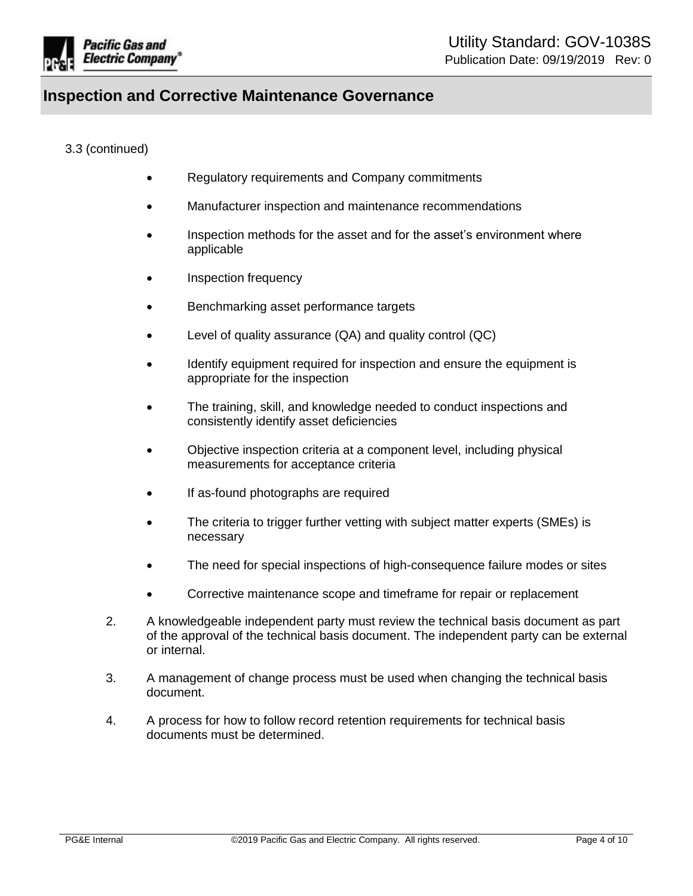

#### 3.3 (continued)

- Regulatory requirements and Company commitments
- Manufacturer inspection and maintenance recommendations
- Inspection methods for the asset and for the asset's environment where applicable
- Inspection frequency
- **Benchmarking asset performance targets**
- Level of quality assurance (QA) and quality control (QC)
- Identify equipment required for inspection and ensure the equipment is appropriate for the inspection
- The training, skill, and knowledge needed to conduct inspections and consistently identify asset deficiencies
- Objective inspection criteria at a component level, including physical measurements for acceptance criteria
- If as-found photographs are required
- The criteria to trigger further vetting with subject matter experts (SMEs) is necessary
- The need for special inspections of high-consequence failure modes or sites
- Corrective maintenance scope and timeframe for repair or replacement
- 2. A knowledgeable independent party must review the technical basis document as part of the approval of the technical basis document. The independent party can be external or internal.
- 3. A management of change process must be used when changing the technical basis document.
- 4. A process for how to follow record retention requirements for technical basis documents must be determined.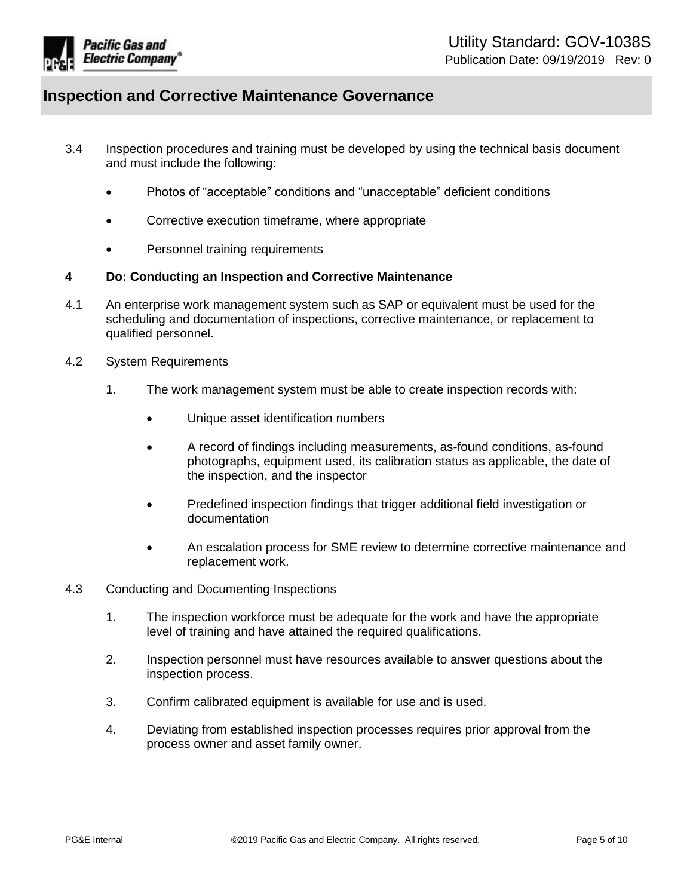

- 3.4 Inspection procedures and training must be developed by using the technical basis document and must include the following:
	- Photos of "acceptable" conditions and "unacceptable" deficient conditions
	- Corrective execution timeframe, where appropriate
	- Personnel training requirements

#### <span id="page-4-0"></span>**4 Do: Conducting an Inspection and Corrective Maintenance**

- 4.1 An enterprise work management system such as SAP or equivalent must be used for the scheduling and documentation of inspections, corrective maintenance, or replacement to qualified personnel.
- 4.2 System Requirements
	- 1. The work management system must be able to create inspection records with:
		- Unique asset identification numbers
		- A record of findings including measurements, as-found conditions, as-found photographs, equipment used, its calibration status as applicable, the date of the inspection, and the inspector
		- Predefined inspection findings that trigger additional field investigation or documentation
		- An escalation process for SME review to determine corrective maintenance and replacement work.
- 4.3 Conducting and Documenting Inspections
	- 1. The inspection workforce must be adequate for the work and have the appropriate level of training and have attained the required qualifications.
	- 2. Inspection personnel must have resources available to answer questions about the inspection process.
	- 3. Confirm calibrated equipment is available for use and is used.
	- 4. Deviating from established inspection processes requires prior approval from the process owner and asset family owner.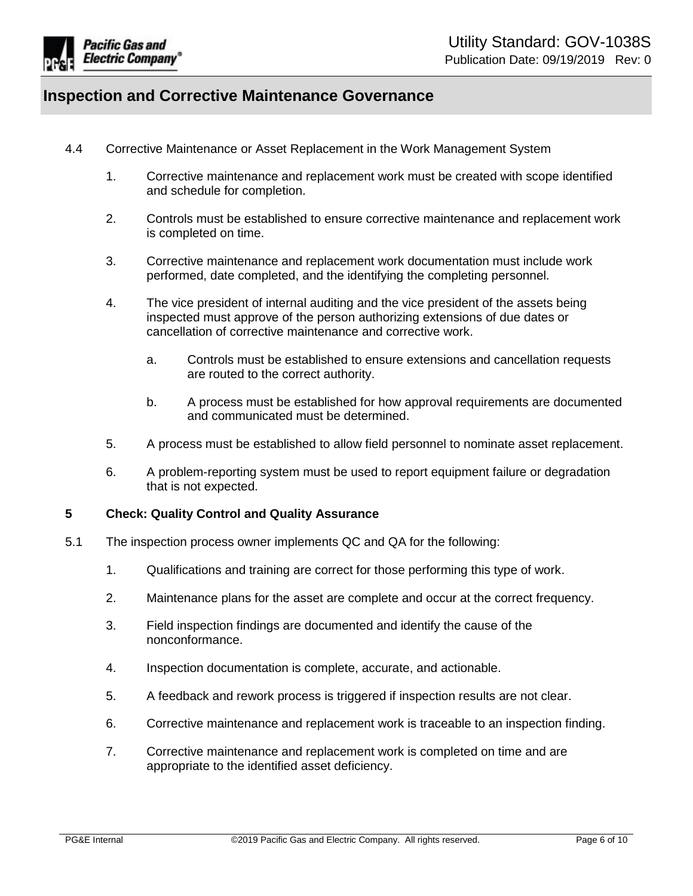

- 4.4 Corrective Maintenance or Asset Replacement in the Work Management System
	- 1. Corrective maintenance and replacement work must be created with scope identified and schedule for completion.
	- 2. Controls must be established to ensure corrective maintenance and replacement work is completed on time.
	- 3. Corrective maintenance and replacement work documentation must include work performed, date completed, and the identifying the completing personnel.
	- 4. The vice president of internal auditing and the vice president of the assets being inspected must approve of the person authorizing extensions of due dates or cancellation of corrective maintenance and corrective work.
		- a. Controls must be established to ensure extensions and cancellation requests are routed to the correct authority.
		- b. A process must be established for how approval requirements are documented and communicated must be determined.
	- 5. A process must be established to allow field personnel to nominate asset replacement.
	- 6. A problem-reporting system must be used to report equipment failure or degradation that is not expected.

#### <span id="page-5-0"></span>**5 Check: Quality Control and Quality Assurance**

- 5.1 The inspection process owner implements QC and QA for the following:
	- 1. Qualifications and training are correct for those performing this type of work.
	- 2. Maintenance plans for the asset are complete and occur at the correct frequency.
	- 3. Field inspection findings are documented and identify the cause of the nonconformance.
	- 4. Inspection documentation is complete, accurate, and actionable.
	- 5. A feedback and rework process is triggered if inspection results are not clear.
	- 6. Corrective maintenance and replacement work is traceable to an inspection finding.
	- 7. Corrective maintenance and replacement work is completed on time and are appropriate to the identified asset deficiency.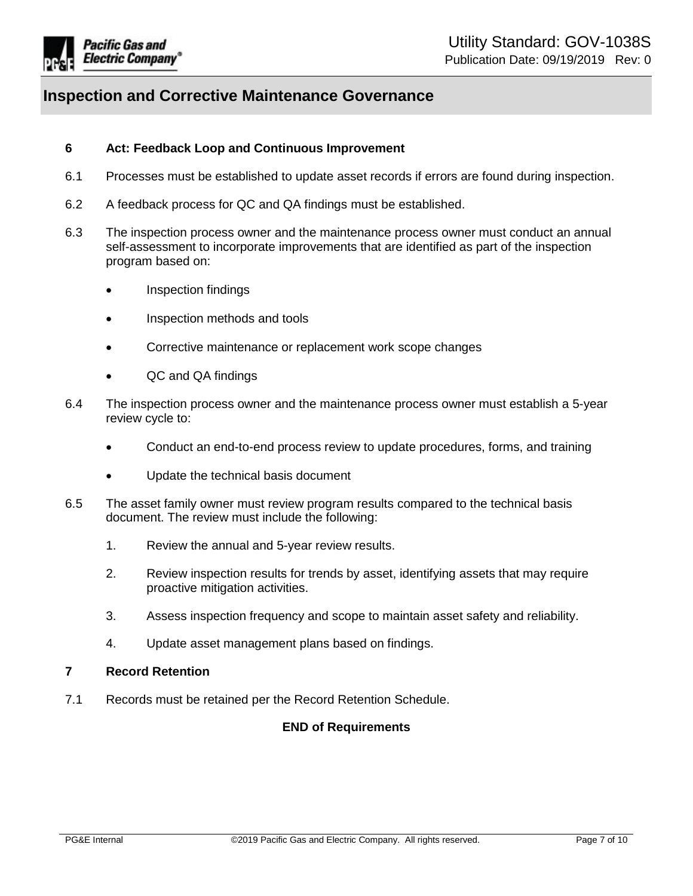

#### <span id="page-6-0"></span>**6 Act: Feedback Loop and Continuous Improvement**

- 6.1 Processes must be established to update asset records if errors are found during inspection.
- 6.2 A feedback process for QC and QA findings must be established.
- 6.3 The inspection process owner and the maintenance process owner must conduct an annual self-assessment to incorporate improvements that are identified as part of the inspection program based on:
	- Inspection findings
	- Inspection methods and tools
	- Corrective maintenance or replacement work scope changes
	- QC and QA findings
- 6.4 The inspection process owner and the maintenance process owner must establish a 5-year review cycle to:
	- Conduct an end-to-end process review to update procedures, forms, and training
	- Update the technical basis document
- 6.5 The asset family owner must review program results compared to the technical basis document. The review must include the following:
	- 1. Review the annual and 5-year review results.
	- 2. Review inspection results for trends by asset, identifying assets that may require proactive mitigation activities.
	- 3. Assess inspection frequency and scope to maintain asset safety and reliability.
	- 4. Update asset management plans based on findings.

#### <span id="page-6-1"></span>**7 Record Retention**

7.1 Records must be retained per the Record Retention Schedule.

#### **END of Requirements**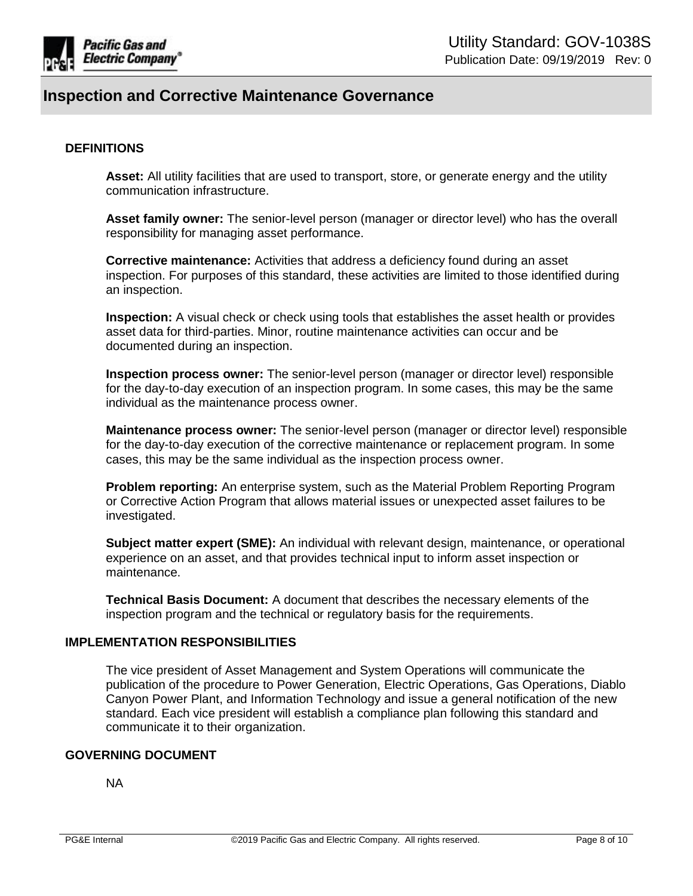

#### **DEFINITIONS**

**Asset:** All utility facilities that are used to transport, store, or generate energy and the utility communication infrastructure.

**Asset family owner:** The senior-level person (manager or director level) who has the overall responsibility for managing asset performance.

**Corrective maintenance:** Activities that address a deficiency found during an asset inspection. For purposes of this standard, these activities are limited to those identified during an inspection.

**Inspection:** A visual check or check using tools that establishes the asset health or provides asset data for third-parties. Minor, routine maintenance activities can occur and be documented during an inspection.

**Inspection process owner:** The senior-level person (manager or director level) responsible for the day-to-day execution of an inspection program. In some cases, this may be the same individual as the maintenance process owner.

**Maintenance process owner:** The senior-level person (manager or director level) responsible for the day-to-day execution of the corrective maintenance or replacement program. In some cases, this may be the same individual as the inspection process owner.

**Problem reporting:** An enterprise system, such as the Material Problem Reporting Program or Corrective Action Program that allows material issues or unexpected asset failures to be investigated.

**Subject matter expert (SME):** An individual with relevant design, maintenance, or operational experience on an asset, and that provides technical input to inform asset inspection or maintenance.

**Technical Basis Document:** A document that describes the necessary elements of the inspection program and the technical or regulatory basis for the requirements.

#### **IMPLEMENTATION RESPONSIBILITIES**

The vice president of Asset Management and System Operations will communicate the publication of the procedure to Power Generation, Electric Operations, Gas Operations, Diablo Canyon Power Plant, and Information Technology and issue a general notification of the new standard. Each vice president will establish a compliance plan following this standard and communicate it to their organization.

#### **GOVERNING DOCUMENT**

NA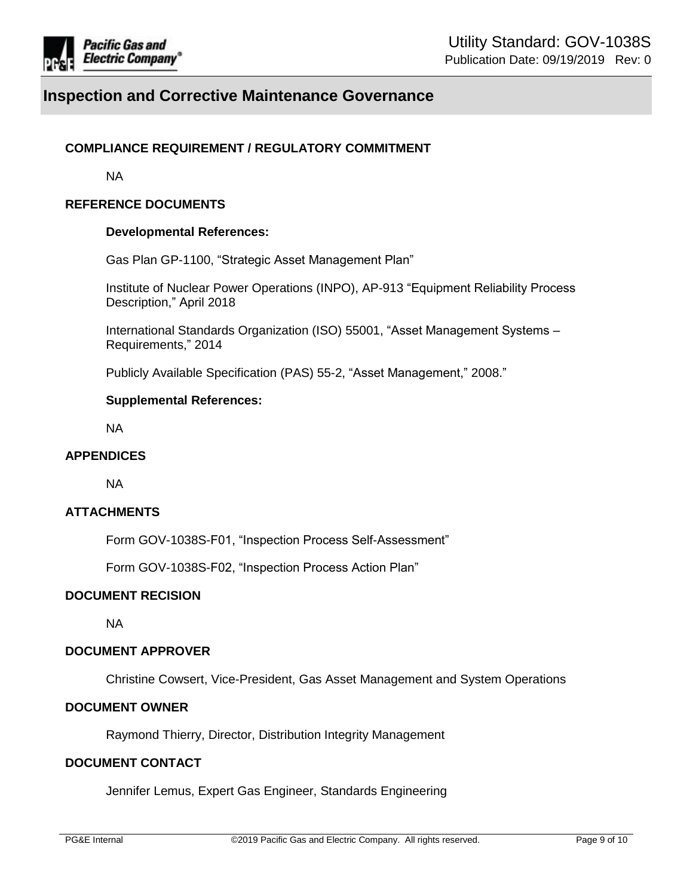

#### **COMPLIANCE REQUIREMENT / REGULATORY COMMITMENT**

NA

#### **REFERENCE DOCUMENTS**

#### **Developmental References:**

Gas Plan GP-1100, "Strategic Asset Management Plan"

Institute of Nuclear Power Operations (INPO), AP-913 "Equipment Reliability Process Description," April 2018

International Standards Organization (ISO) 55001, "Asset Management Systems – Requirements," 2014

Publicly Available Specification (PAS) 55-2, "Asset Management," 2008."

#### **Supplemental References:**

NA

#### **APPENDICES**

NA

#### **ATTACHMENTS**

Form GOV-1038S-F01, "Inspection Process Self-Assessment"

Form GOV-1038S-F02, "Inspection Process Action Plan"

#### **DOCUMENT RECISION**

NA

#### **DOCUMENT APPROVER**

Christine Cowsert, Vice-President, Gas Asset Management and System Operations

#### **DOCUMENT OWNER**

Raymond Thierry, Director, Distribution Integrity Management

#### **DOCUMENT CONTACT**

Jennifer Lemus, Expert Gas Engineer, Standards Engineering